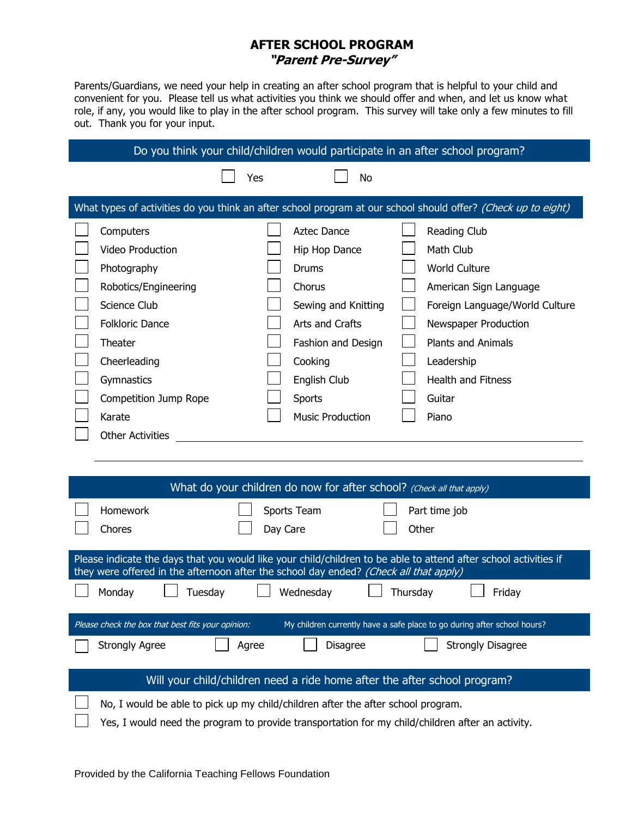## **AFTER SCHOOL PROGRAM "Parent Pre-Survey"**

Parents/Guardians, we need your help in creating an after school program that is helpful to your child and convenient for you. Please tell us what activities you think we should offer and when, and let us know what role, if any, you would like to play in the after school program. This survey will take only a few minutes to fill out. Thank you for your input.

## Do you think your child/children would participate in an after school program? Yes and No

| What types of activities do you think an after school program at our school should offer? (Check up to eight) |                         |  |                         |  |                                |  |  |  |
|---------------------------------------------------------------------------------------------------------------|-------------------------|--|-------------------------|--|--------------------------------|--|--|--|
|                                                                                                               | Computers               |  | Aztec Dance             |  | Reading Club                   |  |  |  |
|                                                                                                               | <b>Video Production</b> |  | Hip Hop Dance           |  | Math Club                      |  |  |  |
|                                                                                                               | Photography             |  | Drums                   |  | World Culture                  |  |  |  |
|                                                                                                               | Robotics/Engineering    |  | <b>Chorus</b>           |  | American Sign Language         |  |  |  |
|                                                                                                               | Science Club            |  | Sewing and Knitting     |  | Foreign Language/World Culture |  |  |  |
|                                                                                                               | <b>Folkloric Dance</b>  |  | Arts and Crafts         |  | Newspaper Production           |  |  |  |
|                                                                                                               | Theater                 |  | Fashion and Design      |  | <b>Plants and Animals</b>      |  |  |  |
|                                                                                                               | Cheerleading            |  | Cooking                 |  | Leadership                     |  |  |  |
|                                                                                                               | Gymnastics              |  | English Club            |  | <b>Health and Fitness</b>      |  |  |  |
|                                                                                                               | Competition Jump Rope   |  | <b>Sports</b>           |  | Guitar                         |  |  |  |
|                                                                                                               | Karate                  |  | <b>Music Production</b> |  | Piano                          |  |  |  |
|                                                                                                               | <b>Other Activities</b> |  |                         |  |                                |  |  |  |

| What do your children do now for after school? (Check all that apply)                                                                                                                                     |                                                                                                                                                                                      |       |                         |  |                          |  |  |  |
|-----------------------------------------------------------------------------------------------------------------------------------------------------------------------------------------------------------|--------------------------------------------------------------------------------------------------------------------------------------------------------------------------------------|-------|-------------------------|--|--------------------------|--|--|--|
|                                                                                                                                                                                                           | <b>Homework</b><br>Chores                                                                                                                                                            |       | Sports Team<br>Day Care |  | Part time job<br>Other   |  |  |  |
| Please indicate the days that you would like your child/children to be able to attend after school activities if<br>they were offered in the afternoon after the school day ended? (Check all that apply) |                                                                                                                                                                                      |       |                         |  |                          |  |  |  |
|                                                                                                                                                                                                           | Tuesday<br>Monday                                                                                                                                                                    |       | Wednesday               |  | Thursday<br>Friday       |  |  |  |
| Please check the box that best fits your opinion:<br>My children currently have a safe place to go during after school hours?                                                                             |                                                                                                                                                                                      |       |                         |  |                          |  |  |  |
|                                                                                                                                                                                                           | <b>Strongly Agree</b>                                                                                                                                                                | Agree | <b>Disagree</b>         |  | <b>Strongly Disagree</b> |  |  |  |
| Will your child/children need a ride home after the after school program?                                                                                                                                 |                                                                                                                                                                                      |       |                         |  |                          |  |  |  |
|                                                                                                                                                                                                           | No, I would be able to pick up my child/children after the after school program.<br>Yes, I would need the program to provide transportation for my child/children after an activity. |       |                         |  |                          |  |  |  |